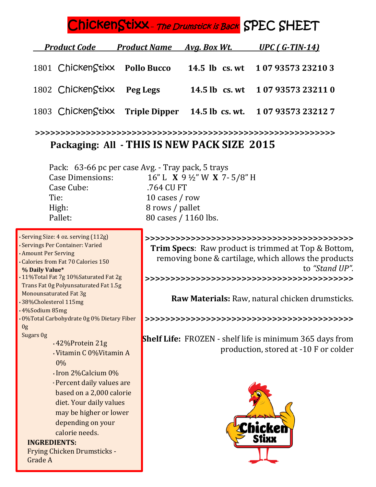## ChickenStixx - The Drumstick is Back SPEC SHEET

| <u>Product Code Product Name Avg. Box Wt.</u> |                               |  | <u>UPC (G-TIN-14)</u>                                          |
|-----------------------------------------------|-------------------------------|--|----------------------------------------------------------------|
|                                               | 1801 ChickenStixx Pollo Bucco |  | 14.5 lb cs. wt 1 07 93573 23210 3                              |
|                                               | 1802 ChickenStixx Peg Legs    |  | 14.5 lb cs. wt 1 07 93573 23211 0                              |
|                                               |                               |  | 1803 Chicken Stix Triple Dipper 14.5 lb cs. wt. 10793573232127 |
|                                               |                               |  |                                                                |

## **>>>>>>>>>>>>>>>>>>>>>>>>>>>>>>>>>>>>>>>>>>>>>>>>>>>>>>>>>>> Packaging: All - THIS IS NEW PACK SIZE 2015**

Pack: 63-66 pc per case Avg. - Tray pack, 5 trays<br>Case Dimensions: 16" L **X** 9 ½" W **X** 7- Case Dimensions: 16" L **X** 9 ½" W **X** 7- 5/8" H Case Cube: .764 CU FT Tie: 10 cases / row<br>High: 8 rows / pallet High: 8 rows / pallet<br>Pallet: 80 cases / 1160 80 cases / 1160 lbs.

• Serving Size: 4 oz. serving (112g) • Servings Per Container: Varied

- Amount Per Serving
- Calories from Fat 70 Calories 150
- **% Daily Value\***
- 11%Total Fat 7g 10%Saturated Fat 2g Trans Fat 0g Polyunsaturated Fat 1.5g
- Monounsaturated Fat 3g
- 38%Cholesterol 115mg
- 4%Sodium 85mg
- 0%Total Carbohydrate 0g 0% Dietary Fiber 0g

Sugars 0g

- 42%Protein 21g
- Vitamin C 0%Vitamin A 0%
- Iron 2%Calcium 0%
- \* Percent daily values are based on a 2,000 calorie diet. Your daily values may be higher or lower depending on your calorie needs.

**INGREDIENTS:** Frying Chicken Drumsticks - Grade A

## **>>>>>>>>>>>>>>>>>>>>>>>>>>>>>>>>>>>>>>>>>**

 **Trim Specs**: Raw product is trimmed at Top & Bottom, removing bone & cartilage, which allows the products to *"Stand UP".* **>>>>>>>>>>>>>>>>>>>>>>>>>>>>>>>>>>>>>>>>>**

 **Raw Materials:** Raw, natural chicken drumsticks.

**>>>>>>>>>>>>>>>>>>>>>>>>>>>>>>>>>>>>>>>>>**

**Shelf Life:** FROZEN - shelf life is minimum 365 days from production, stored at -10 F or colder